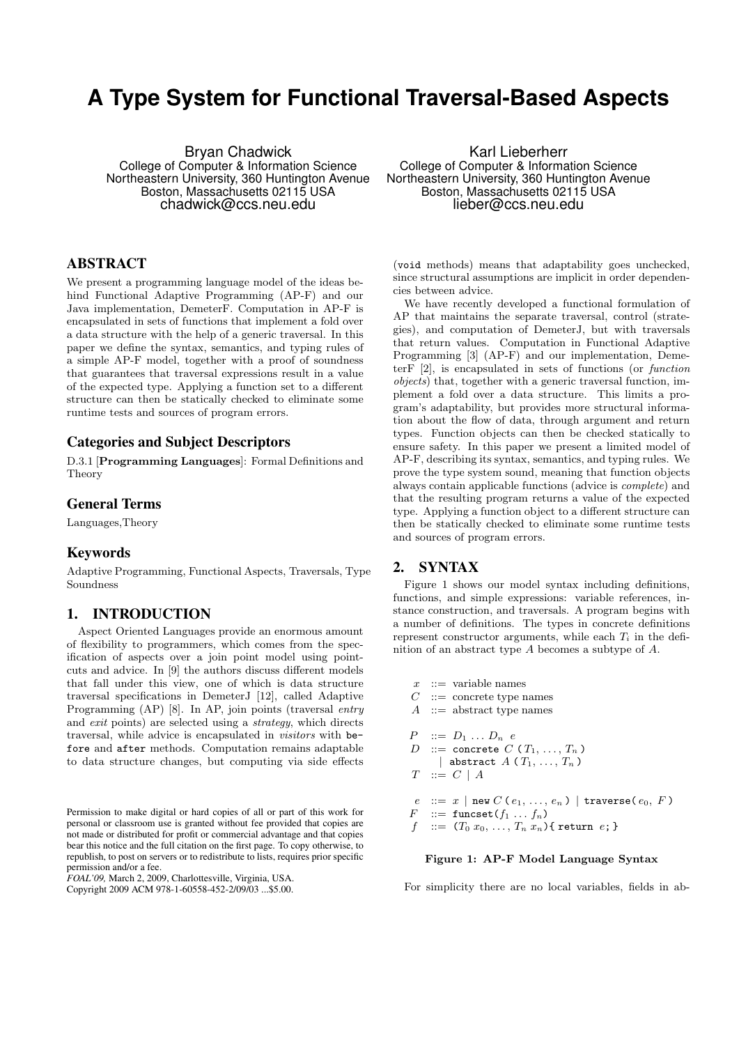# **A Type System for Functional Traversal-Based Aspects**

Bryan Chadwick College of Computer & Information Science Northeastern University, 360 Huntington Avenue Boston, Massachusetts 02115 USA chadwick@ccs.neu.edu

## ABSTRACT

We present a programming language model of the ideas behind Functional Adaptive Programming (AP-F) and our Java implementation, DemeterF. Computation in AP-F is encapsulated in sets of functions that implement a fold over a data structure with the help of a generic traversal. In this paper we define the syntax, semantics, and typing rules of a simple AP-F model, together with a proof of soundness that guarantees that traversal expressions result in a value of the expected type. Applying a function set to a different structure can then be statically checked to eliminate some runtime tests and sources of program errors.

#### Categories and Subject Descriptors

D.3.1 [Programming Languages]: Formal Definitions and Theory

## General Terms

Languages,Theory

#### Keywords

Adaptive Programming, Functional Aspects, Traversals, Type Soundness

## 1. INTRODUCTION

Aspect Oriented Languages provide an enormous amount of flexibility to programmers, which comes from the specification of aspects over a join point model using pointcuts and advice. In [9] the authors discuss different models that fall under this view, one of which is data structure traversal specifications in DemeterJ [12], called Adaptive Programming (AP) [8]. In AP, join points (traversal entry and *exit* points) are selected using a *strategy*, which directs traversal, while advice is encapsulated in visitors with before and after methods. Computation remains adaptable to data structure changes, but computing via side effects

Permission to make digital or hard copies of all or part of this work for personal or classroom use is granted without fee provided that copies are not made or distributed for profit or commercial advantage and that copies bear this notice and the full citation on the first page. To copy otherwise, to republish, to post on servers or to redistribute to lists, requires prior specific permission and/or a fee.

*FOAL'09,* March 2, 2009, Charlottesville, Virginia, USA.

Copyright 2009 ACM 978-1-60558-452-2/09/03 ...\$5.00.

Karl Lieberherr College of Computer & Information Science Northeastern University, 360 Huntington Avenue Boston, Massachusetts 02115 USA lieber@ccs.neu.edu

(void methods) means that adaptability goes unchecked, since structural assumptions are implicit in order dependencies between advice.

We have recently developed a functional formulation of AP that maintains the separate traversal, control (strategies), and computation of DemeterJ, but with traversals that return values. Computation in Functional Adaptive Programming [3] (AP-F) and our implementation, DemeterF [2], is encapsulated in sets of functions (or function objects) that, together with a generic traversal function, implement a fold over a data structure. This limits a program's adaptability, but provides more structural information about the flow of data, through argument and return types. Function objects can then be checked statically to ensure safety. In this paper we present a limited model of AP-F, describing its syntax, semantics, and typing rules. We prove the type system sound, meaning that function objects always contain applicable functions (advice is complete) and that the resulting program returns a value of the expected type. Applying a function object to a different structure can then be statically checked to eliminate some runtime tests and sources of program errors.

## 2. SYNTAX

Figure 1 shows our model syntax including definitions, functions, and simple expressions: variable references, instance construction, and traversals. A program begins with a number of definitions. The types in concrete definitions represent constructor arguments, while each  $T_i$  in the definition of an abstract type A becomes a subtype of A.

 $x$  :  $=$  variable names  $C$  ::= concrete type names  $A$  ::= abstract type names  $P$  ::=  $D_1 \ldots D_n$  e D ::= concrete  $C(T_1, ..., T_n)$ | abstract  $A(T_1, \ldots, T_n)$  $T$  ::=  $C | A$  $e$  ::=  $x | \text{new } C (e_1, ..., e_n) | \text{traverse}(e_0, F)$  $F$  ::= funcset( $f_1 \ldots f_n$ )  $f$  ::=  $(T_0 x_0, ..., T_n x_n)$  { return e; }

#### Figure 1: AP-F Model Language Syntax

For simplicity there are no local variables, fields in ab-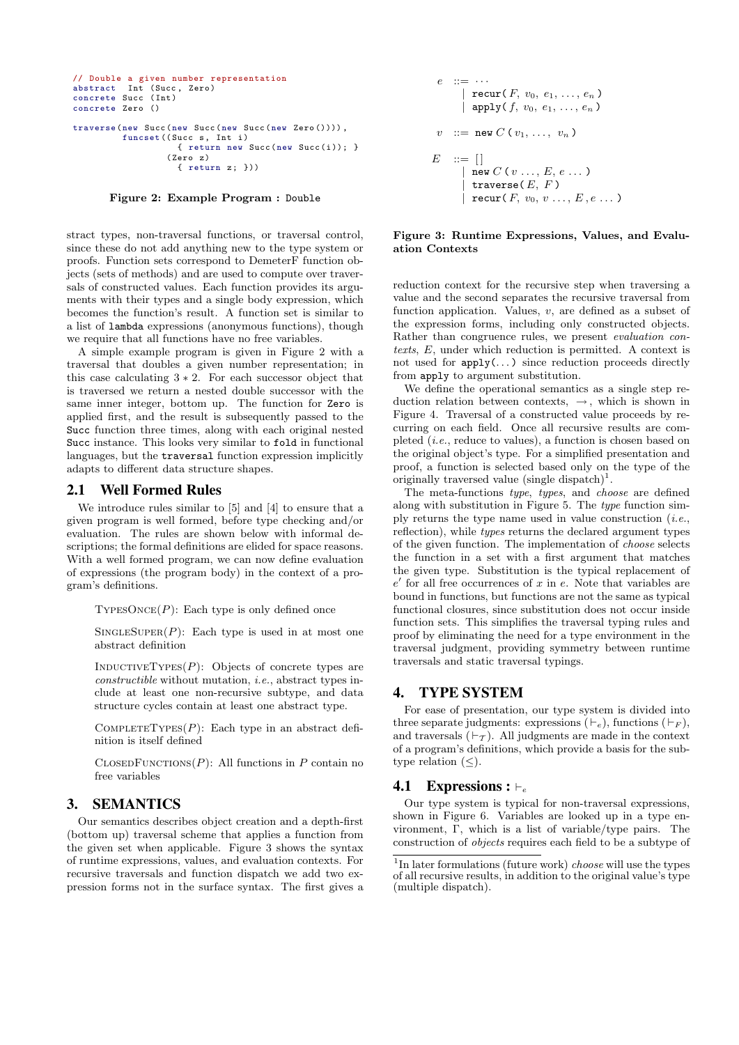```
// Double a given number representation
abstract Int (Succ, Zero)
concrete Succ ( Int )
concrete Zero ()
traverse (new Succ (new Succ (new Succ (new Zero ()))),
         funcset ((Succ s, Int i)
                    \{ return new Succ(new Succ(i)); \}( Zero z)
                    { return z; }))
```
Figure 2: Example Program : Double

stract types, non-traversal functions, or traversal control, since these do not add anything new to the type system or proofs. Function sets correspond to DemeterF function objects (sets of methods) and are used to compute over traversals of constructed values. Each function provides its arguments with their types and a single body expression, which becomes the function's result. A function set is similar to a list of lambda expressions (anonymous functions), though we require that all functions have no free variables.

A simple example program is given in Figure 2 with a traversal that doubles a given number representation; in this case calculating  $3 \times 2$ . For each successor object that is traversed we return a nested double successor with the same inner integer, bottom up. The function for Zero is applied first, and the result is subsequently passed to the Succ function three times, along with each original nested Succ instance. This looks very similar to fold in functional languages, but the traversal function expression implicitly adapts to different data structure shapes.

## 2.1 Well Formed Rules

We introduce rules similar to [5] and [4] to ensure that a given program is well formed, before type checking and/or evaluation. The rules are shown below with informal descriptions; the formal definitions are elided for space reasons. With a well formed program, we can now define evaluation of expressions (the program body) in the context of a program's definitions.

 $TYPESONCE(P)$ : Each type is only defined once

 $SINGLESUPER(P):$  Each type is used in at most one abstract definition

INDUCTIVETYPES $(P)$ : Objects of concrete types are constructible without mutation, i.e., abstract types include at least one non-recursive subtype, and data structure cycles contain at least one abstract type.

COMPLETETYPES $(P)$ : Each type in an abstract definition is itself defined

 $C\text{LoSEDF}$ UNCTIONS $(P)$ : All functions in P contain no free variables

# 3. SEMANTICS

Our semantics describes object creation and a depth-first (bottom up) traversal scheme that applies a function from the given set when applicable. Figure 3 shows the syntax of runtime expressions, values, and evaluation contexts. For recursive traversals and function dispatch we add two expression forms not in the surface syntax. The first gives a

$$
e ::= \cdots
$$
\n
$$
| \text{ recur}(F, v_0, e_1, \ldots, e_n)
$$
\n
$$
| \text{ apply}(f, v_0, e_1, \ldots, e_n)
$$
\n
$$
v ::= \text{new } C(v_1, \ldots, v_n)
$$
\n
$$
E ::= []
$$
\n
$$
| \text{ new } C(v \ldots, E, e \ldots)
$$
\n
$$
| \text{ traverse}(E, F)
$$
\n
$$
| \text{ recur}(F, v_0, v \ldots, E, e \ldots)
$$

#### Figure 3: Runtime Expressions, Values, and Evaluation Contexts

reduction context for the recursive step when traversing a value and the second separates the recursive traversal from function application. Values,  $v$ , are defined as a subset of the expression forms, including only constructed objects. Rather than congruence rules, we present evaluation contexts, E, under which reduction is permitted. A context is not used for  $\text{apply}(\dots)$  since reduction proceeds directly from apply to argument substitution.

We define the operational semantics as a single step reduction relation between contexts,  $\rightarrow$ , which is shown in Figure 4. Traversal of a constructed value proceeds by recurring on each field. Once all recursive results are completed (i.e., reduce to values), a function is chosen based on the original object's type. For a simplified presentation and proof, a function is selected based only on the type of the originally traversed value (single dispatch)<sup>1</sup>.

The meta-functions type, types, and choose are defined along with substitution in Figure 5. The type function simply returns the type name used in value construction  $(i.e.,$ reflection), while types returns the declared argument types of the given function. The implementation of choose selects the function in a set with a first argument that matches the given type. Substitution is the typical replacement of  $e'$  for all free occurrences of  $x$  in  $e$ . Note that variables are bound in functions, but functions are not the same as typical functional closures, since substitution does not occur inside function sets. This simplifies the traversal typing rules and proof by eliminating the need for a type environment in the traversal judgment, providing symmetry between runtime traversals and static traversal typings.

## 4. TYPE SYSTEM

For ease of presentation, our type system is divided into three separate judgments: expressions  $(\vdash_e)$ , functions  $(\vdash_F)$ , and traversals  $(\vdash_{\mathcal{T}})$ . All judgments are made in the context of a program's definitions, which provide a basis for the subtype relation  $(\leq)$ .

#### 4.1 Expressions :  $\vdash_e$

Our type system is typical for non-traversal expressions, shown in Figure 6. Variables are looked up in a type environment, Γ, which is a list of variable/type pairs. The construction of objects requires each field to be a subtype of

<sup>&</sup>lt;sup>1</sup>In later formulations (future work) *choose* will use the types of all recursive results, in addition to the original value's type (multiple dispatch).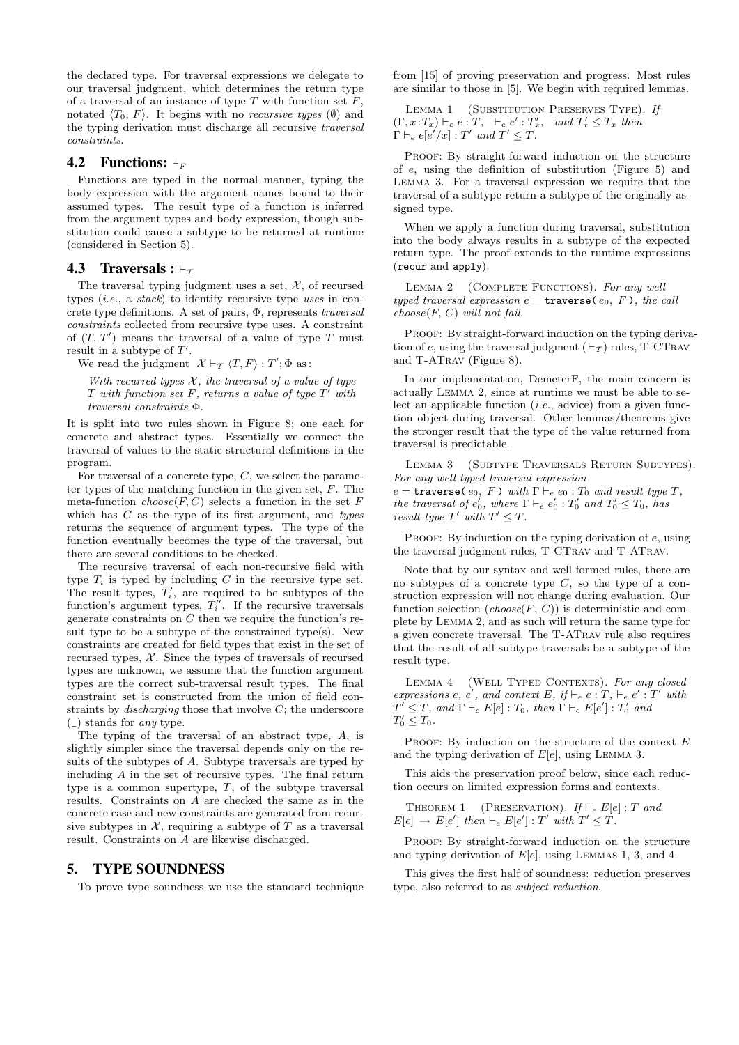the declared type. For traversal expressions we delegate to our traversal judgment, which determines the return type of a traversal of an instance of type  $T$  with function set  $F$ , notated  $\langle T_0, F \rangle$ . It begins with no *recursive types* ( $\emptyset$ ) and the typing derivation must discharge all recursive traversal constraints.

### **4.2** Functions:  $\vdash_F$

Functions are typed in the normal manner, typing the body expression with the argument names bound to their assumed types. The result type of a function is inferred from the argument types and body expression, though substitution could cause a subtype to be returned at runtime (considered in Section 5).

## **4.3** Traversals :  $\vdash_{\tau}$

The traversal typing judgment uses a set,  $\mathcal{X}$ , of recursed types (i.e., a stack) to identify recursive type uses in concrete type definitions. A set of pairs, Φ, represents traversal constraints collected from recursive type uses. A constraint of  $(T, T')$  means the traversal of a value of type T must result in a subtype of  $T'$ .

We read the judgment  $\mathcal{X} \vdash_{\mathcal{T}} \langle T, F \rangle : T'; \Phi \text{ as : }$ 

With recurred types  $\mathcal{X}$ , the traversal of a value of type  $T$  with function set  $F$ , returns a value of type  $T'$  with traversal constraints Φ.

It is split into two rules shown in Figure 8; one each for concrete and abstract types. Essentially we connect the traversal of values to the static structural definitions in the program.

For traversal of a concrete type,  $C$ , we select the parameter types of the matching function in the given set,  $F$ . The meta-function  $choose(F, C)$  selects a function in the set F which has  $C$  as the type of its first argument, and types returns the sequence of argument types. The type of the function eventually becomes the type of the traversal, but there are several conditions to be checked.

The recursive traversal of each non-recursive field with type  $T_i$  is typed by including C in the recursive type set. The result types,  $T_i'$ , are required to be subtypes of the function's argument types,  $T''_i$ . If the recursive traversals generate constraints on  $C$  then we require the function's result type to be a subtype of the constrained type(s). New constraints are created for field types that exist in the set of recursed types,  $X$ . Since the types of traversals of recursed types are unknown, we assume that the function argument types are the correct sub-traversal result types. The final constraint set is constructed from the union of field constraints by *discharging* those that involve  $C$ ; the underscore (\_) stands for any type.

The typing of the traversal of an abstract type, A, is slightly simpler since the traversal depends only on the results of the subtypes of A. Subtype traversals are typed by including A in the set of recursive types. The final return type is a common supertype,  $T$ , of the subtype traversal results. Constraints on A are checked the same as in the concrete case and new constraints are generated from recursive subtypes in  $X$ , requiring a subtype of T as a traversal result. Constraints on A are likewise discharged.

## 5. TYPE SOUNDNESS

To prove type soundness we use the standard technique

from [15] of proving preservation and progress. Most rules are similar to those in [5]. We begin with required lemmas.

LEMMA 1 (SUBSTITUTION PRESERVES TYPE). If  $(T, x: T_x) \vdash_e e: T, \vdash_e e': T'_x, \text{ and } T'_x \leq T_x \text{ then}$  $\Gamma \vdash_e e[e'/x] : T'$  and  $T' \leq T$ .

PROOF: By straight-forward induction on the structure of e, using the definition of substitution (Figure 5) and Lemma 3. For a traversal expression we require that the traversal of a subtype return a subtype of the originally assigned type.

When we apply a function during traversal, substitution into the body always results in a subtype of the expected return type. The proof extends to the runtime expressions (recur and apply).

LEMMA 2 (COMPLETE FUNCTIONS). For any well typed traversal expression  $e = \text{travers}(\,e_0, F)$ , the call  $choose(F, C)$  will not fail.

PROOF: By straight-forward induction on the typing derivation of e, using the traversal judgment  $(\vdash_{\mathcal{T}})$  rules, T-CTRAV and T-ATrav (Figure 8).

In our implementation, DemeterF, the main concern is actually Lemma 2, since at runtime we must be able to select an applicable function  $(i.e.,\text{ advice})$  from a given function object during traversal. Other lemmas/theorems give the stronger result that the type of the value returned from traversal is predictable.

Lemma 3 (Subtype Traversals Return Subtypes). For any well typed traversal expression

 $e = \texttt{traverse}(e_0, F) \text{ with } \Gamma \vdash_e e_0 : T_0 \text{ and result type } T,$ the traversal of  $e'_0$ , where  $\Gamma \vdash_e e'_0 : T'_0$  and  $T'_0 \leq T_0$ , has result type  $T'$  with  $T' \leq T$ .

PROOF: By induction on the typing derivation of  $e$ , using the traversal judgment rules, T-CTrav and T-ATrav.

Note that by our syntax and well-formed rules, there are no subtypes of a concrete type  $C$ , so the type of a construction expression will not change during evaluation. Our function selection  $(choose F, C)$  is deterministic and complete by Lemma 2, and as such will return the same type for a given concrete traversal. The T-ATrav rule also requires that the result of all subtype traversals be a subtype of the result type.

LEMMA 4 (WELL TYPED CONTEXTS). For any closed expressions e, e', and context E, if  $\vdash_e e : T, \vdash_e e' : T'$  with  $T' \leq T$ , and  $\Gamma \vdash_e E[e] : T_0$ , then  $\Gamma \vdash_e E[e'] : T'_0$  and  $T_0' \leq T_0$ .

PROOF: By induction on the structure of the context  $E$ and the typing derivation of  $E[e]$ , using LEMMA 3.

This aids the preservation proof below, since each reduction occurs on limited expression forms and contexts.

THEOREM 1 (PRESERVATION). If  $\vdash_e E[e]$ : T and  $E[e] \rightarrow E[e']$  then  $\vdash_e E[e']$ :  $T'$  with  $T' \leq T$ .

PROOF: By straight-forward induction on the structure and typing derivation of  $E[e]$ , using LEMMAS 1, 3, and 4.

This gives the first half of soundness: reduction preserves type, also referred to as subject reduction.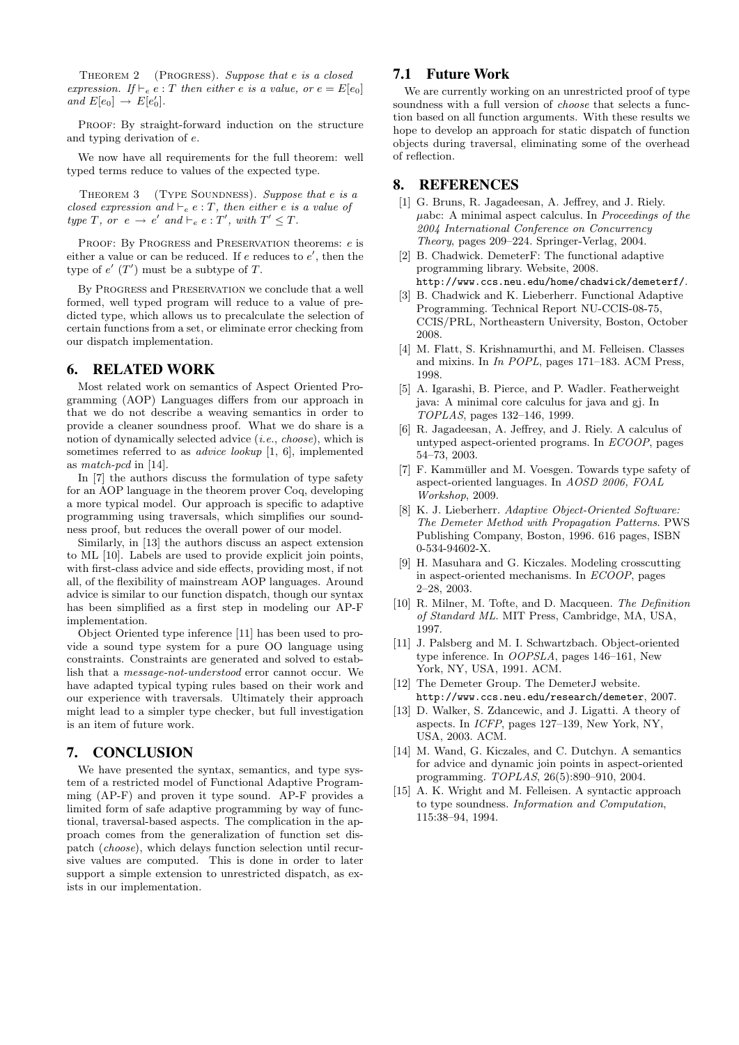Theorem 2 (Progress). Suppose that e is a closed expression. If  $\vdash_e e : T$  then either e is a value, or  $e = E[e_0]$ and  $E[e_0] \rightarrow E[e'_0]$ .

PROOF: By straight-forward induction on the structure and typing derivation of e.

We now have all requirements for the full theorem: well typed terms reduce to values of the expected type.

THEOREM 3 (TYPE SOUNDNESS). Suppose that e is a closed expression and  $\vdash_e e : T$ , then either e is a value of type T, or  $e \rightarrow e'$  and  $\vdash_e e : T'$ , with  $T' \leq T$ .

PROOF: By PROGRESS and PRESERVATION theorems: e is either a value or can be reduced. If  $e$  reduces to  $e'$ , then the type of  $e'$  (T') must be a subtype of T.

By Progress and Preservation we conclude that a well formed, well typed program will reduce to a value of predicted type, which allows us to precalculate the selection of certain functions from a set, or eliminate error checking from our dispatch implementation.

## 6. RELATED WORK

Most related work on semantics of Aspect Oriented Programming (AOP) Languages differs from our approach in that we do not describe a weaving semantics in order to provide a cleaner soundness proof. What we do share is a notion of dynamically selected advice (i.e., choose), which is sometimes referred to as advice lookup [1, 6], implemented as match-pcd in [14].

In [7] the authors discuss the formulation of type safety for an AOP language in the theorem prover Coq, developing a more typical model. Our approach is specific to adaptive programming using traversals, which simplifies our soundness proof, but reduces the overall power of our model.

Similarly, in [13] the authors discuss an aspect extension to ML [10]. Labels are used to provide explicit join points, with first-class advice and side effects, providing most, if not all, of the flexibility of mainstream AOP languages. Around advice is similar to our function dispatch, though our syntax has been simplified as a first step in modeling our AP-F implementation.

Object Oriented type inference [11] has been used to provide a sound type system for a pure OO language using constraints. Constraints are generated and solved to establish that a message-not-understood error cannot occur. We have adapted typical typing rules based on their work and our experience with traversals. Ultimately their approach might lead to a simpler type checker, but full investigation is an item of future work.

# 7. CONCLUSION

We have presented the syntax, semantics, and type system of a restricted model of Functional Adaptive Programming (AP-F) and proven it type sound. AP-F provides a limited form of safe adaptive programming by way of functional, traversal-based aspects. The complication in the approach comes from the generalization of function set dispatch (choose), which delays function selection until recursive values are computed. This is done in order to later support a simple extension to unrestricted dispatch, as exists in our implementation.

# 7.1 Future Work

We are currently working on an unrestricted proof of type soundness with a full version of *choose* that selects a function based on all function arguments. With these results we hope to develop an approach for static dispatch of function objects during traversal, eliminating some of the overhead of reflection.

## 8. REFERENCES

- [1] G. Bruns, R. Jagadeesan, A. Jeffrey, and J. Riely.  $\mu$ abc: A minimal aspect calculus. In *Proceedings of the* 2004 International Conference on Concurrency Theory, pages 209–224. Springer-Verlag, 2004.
- [2] B. Chadwick. DemeterF: The functional adaptive programming library. Website, 2008. http://www.ccs.neu.edu/home/chadwick/demeterf/.
- [3] B. Chadwick and K. Lieberherr. Functional Adaptive Programming. Technical Report NU-CCIS-08-75, CCIS/PRL, Northeastern University, Boston, October 2008.
- [4] M. Flatt, S. Krishnamurthi, and M. Felleisen. Classes and mixins. In In POPL, pages 171–183. ACM Press, 1998.
- [5] A. Igarashi, B. Pierce, and P. Wadler. Featherweight java: A minimal core calculus for java and gj. In TOPLAS, pages 132–146, 1999.
- [6] R. Jagadeesan, A. Jeffrey, and J. Riely. A calculus of untyped aspect-oriented programs. In ECOOP, pages 54–73, 2003.
- [7] F. Kammüller and M. Voesgen. Towards type safety of aspect-oriented languages. In AOSD 2006, FOAL Workshop, 2009.
- [8] K. J. Lieberherr. Adaptive Object-Oriented Software: The Demeter Method with Propagation Patterns. PWS Publishing Company, Boston, 1996. 616 pages, ISBN 0-534-94602-X.
- [9] H. Masuhara and G. Kiczales. Modeling crosscutting in aspect-oriented mechanisms. In ECOOP, pages 2–28, 2003.
- [10] R. Milner, M. Tofte, and D. Macqueen. The Definition of Standard ML. MIT Press, Cambridge, MA, USA, 1997.
- [11] J. Palsberg and M. I. Schwartzbach. Object-oriented type inference. In OOPSLA, pages 146–161, New York, NY, USA, 1991. ACM.
- [12] The Demeter Group. The DemeterJ website. http://www.ccs.neu.edu/research/demeter, 2007.
- [13] D. Walker, S. Zdancewic, and J. Ligatti. A theory of aspects. In ICFP, pages 127–139, New York, NY, USA, 2003. ACM.
- [14] M. Wand, G. Kiczales, and C. Dutchyn. A semantics for advice and dynamic join points in aspect-oriented programming. TOPLAS, 26(5):890–910, 2004.
- [15] A. K. Wright and M. Felleisen. A syntactic approach to type soundness. Information and Computation, 115:38–94, 1994.